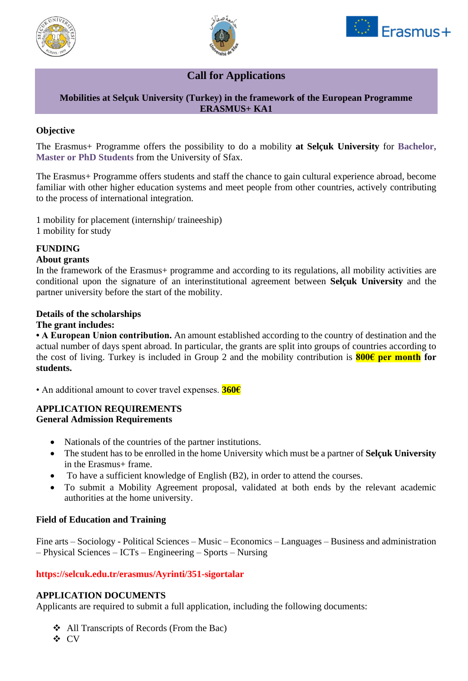





# **Call for Applications**

## **Mobilities at Selçuk University (Turkey) in the framework of the European Programme ERASMUS+ KA1**

## **Objective**

The Erasmus+ Programme offers the possibility to do a mobility **at Selçuk University** for **Bachelor, Master or PhD Students** from the University of Sfax.

The Erasmus+ Programme offers students and staff the chance to gain cultural experience abroad, become familiar with other higher education systems and meet people from other countries, actively contributing to the process of international integration.

1 mobility for placement (internship/ traineeship) 1 mobility for study

## **FUNDING**

#### **About grants**

In the framework of the Erasmus+ programme and according to its regulations, all mobility activities are conditional upon the signature of an interinstitutional agreement between **Selçuk University** and the partner university before the start of the mobility.

#### **Details of the scholarships**

#### **The grant includes:**

**• A European Union contribution.** An amount established according to the country of destination and the actual number of days spent abroad. In particular, the grants are split into groups of countries according to the cost of living. Turkey is included in Group 2 and the mobility contribution is **800€ per month for students.**

• An additional amount to cover travel expenses. **360€**

#### **APPLICATION REQUIREMENTS General Admission Requirements**

- Nationals of the countries of the partner institutions.
- The student has to be enrolled in the home University which must be a partner of **Selçuk University** in the Erasmus+ frame.
- To have a sufficient knowledge of English (B2), in order to attend the courses.
- To submit a Mobility Agreement proposal, validated at both ends by the relevant academic authorities at the home university.

#### **Field of Education and Training**

Fine arts – Sociology - Political Sciences – Music – Economics – Languages – Business and administration – Physical Sciences – ICTs – Engineering – Sports – Nursing

#### **https://selcuk.edu.tr/erasmus/Ayrinti/351-sigortalar**

#### **APPLICATION DOCUMENTS**

Applicants are required to submit a full application, including the following documents:

- ❖ All Transcripts of Records (From the Bac)
- ❖ CV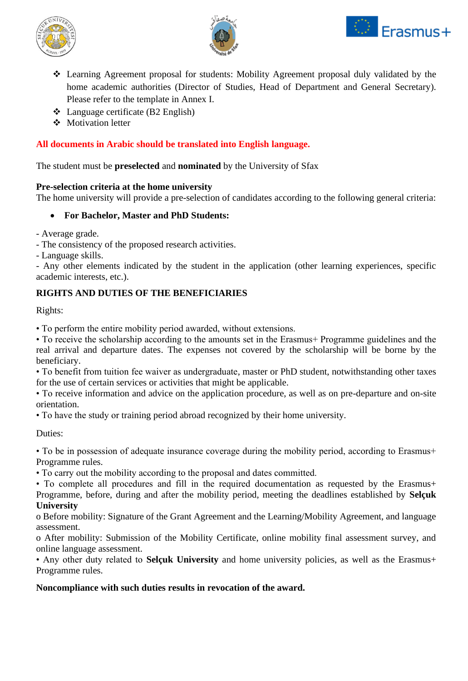





- ❖ Learning Agreement proposal for students: Mobility Agreement proposal duly validated by the home academic authorities (Director of Studies, Head of Department and General Secretary). Please refer to the template in Annex I.
- ❖ Language certificate (B2 English)
- ❖ Motivation letter

## **All documents in Arabic should be translated into English language.**

The student must be **preselected** and **nominated** by the University of Sfax

## **Pre-selection criteria at the home university**

The home university will provide a pre-selection of candidates according to the following general criteria:

## • **For Bachelor, Master and PhD Students:**

- Average grade.
- The consistency of the proposed research activities.
- Language skills.

- Any other elements indicated by the student in the application (other learning experiences, specific academic interests, etc.).

## **RIGHTS AND DUTIES OF THE BENEFICIARIES**

Rights:

• To perform the entire mobility period awarded, without extensions.

• To receive the scholarship according to the amounts set in the Erasmus+ Programme guidelines and the real arrival and departure dates. The expenses not covered by the scholarship will be borne by the beneficiary.

• To benefit from tuition fee waiver as undergraduate, master or PhD student, notwithstanding other taxes for the use of certain services or activities that might be applicable.

• To receive information and advice on the application procedure, as well as on pre-departure and on-site orientation.

• To have the study or training period abroad recognized by their home university.

Duties:

• To be in possession of adequate insurance coverage during the mobility period, according to Erasmus+ Programme rules.

• To carry out the mobility according to the proposal and dates committed.

• To complete all procedures and fill in the required documentation as requested by the Erasmus+ Programme, before, during and after the mobility period, meeting the deadlines established by **Selçuk University**

o Before mobility: Signature of the Grant Agreement and the Learning/Mobility Agreement, and language assessment.

o After mobility: Submission of the Mobility Certificate, online mobility final assessment survey, and online language assessment.

• Any other duty related to **Selçuk University** and home university policies, as well as the Erasmus+ Programme rules.

#### **Noncompliance with such duties results in revocation of the award.**